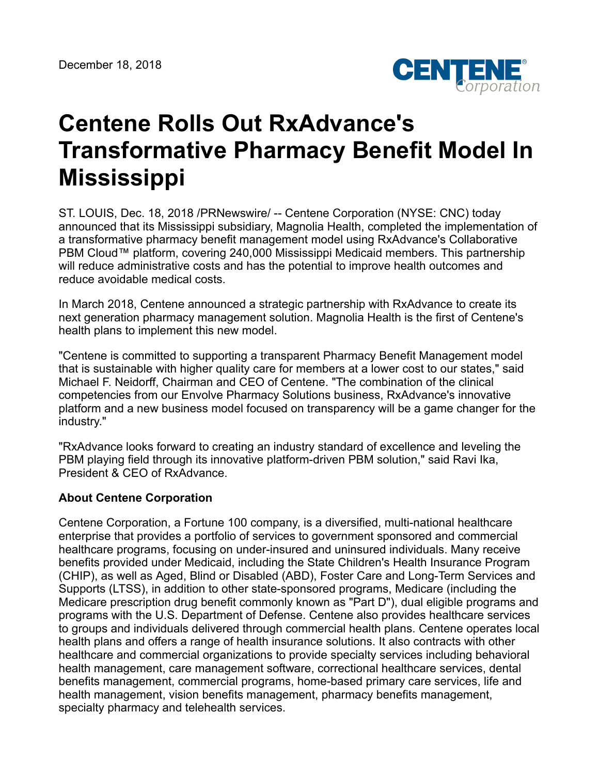

## **Centene Rolls Out RxAdvance's Transformative Pharmacy Benefit Model In Mississippi**

ST. LOUIS, Dec. 18, 2018 /PRNewswire/ -- Centene Corporation (NYSE: CNC) today announced that its Mississippi subsidiary, Magnolia Health, completed the implementation of a transformative pharmacy benefit management model using RxAdvance's Collaborative PBM Cloud™ platform, covering 240,000 Mississippi Medicaid members. This partnership will reduce administrative costs and has the potential to improve health outcomes and reduce avoidable medical costs.

In March 2018, Centene announced a strategic partnership with RxAdvance to create its next generation pharmacy management solution. Magnolia Health is the first of Centene's health plans to implement this new model.

"Centene is committed to supporting a transparent Pharmacy Benefit Management model that is sustainable with higher quality care for members at a lower cost to our states," said Michael F. Neidorff, Chairman and CEO of Centene. "The combination of the clinical competencies from our Envolve Pharmacy Solutions business, RxAdvance's innovative platform and a new business model focused on transparency will be a game changer for the industry."

"RxAdvance looks forward to creating an industry standard of excellence and leveling the PBM playing field through its innovative platform-driven PBM solution," said Ravi Ika, President & CEO of RxAdvance.

## **About Centene Corporation**

Centene Corporation, a Fortune 100 company, is a diversified, multi-national healthcare enterprise that provides a portfolio of services to government sponsored and commercial healthcare programs, focusing on under-insured and uninsured individuals. Many receive benefits provided under Medicaid, including the State Children's Health Insurance Program (CHIP), as well as Aged, Blind or Disabled (ABD), Foster Care and Long-Term Services and Supports (LTSS), in addition to other state-sponsored programs, Medicare (including the Medicare prescription drug benefit commonly known as "Part D"), dual eligible programs and programs with the U.S. Department of Defense. Centene also provides healthcare services to groups and individuals delivered through commercial health plans. Centene operates local health plans and offers a range of health insurance solutions. It also contracts with other healthcare and commercial organizations to provide specialty services including behavioral health management, care management software, correctional healthcare services, dental benefits management, commercial programs, home-based primary care services, life and health management, vision benefits management, pharmacy benefits management, specialty pharmacy and telehealth services.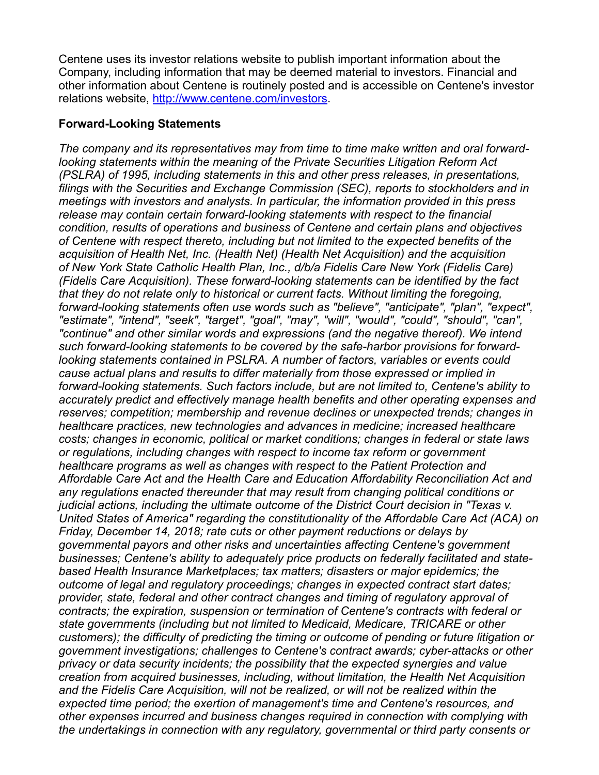Centene uses its investor relations website to publish important information about the Company, including information that may be deemed material to investors. Financial and other information about Centene is routinely posted and is accessible on Centene's investor relations website, <http://www.centene.com/investors>.

## **Forward-Looking Statements**

*The company and its representatives may from time to time make written and oral forwardlooking statements within the meaning of the Private Securities Litigation Reform Act (PSLRA) of 1995, including statements in this and other press releases, in presentations, filings with the Securities and Exchange Commission (SEC), reports to stockholders and in meetings with investors and analysts. In particular, the information provided in this press release may contain certain forward-looking statements with respect to the financial condition, results of operations and business of Centene and certain plans and objectives of Centene with respect thereto, including but not limited to the expected benefits of the acquisition of Health Net, Inc. (Health Net) (Health Net Acquisition) and the acquisition of New York State Catholic Health Plan, Inc., d/b/a Fidelis Care New York (Fidelis Care) (Fidelis Care Acquisition). These forward-looking statements can be identified by the fact that they do not relate only to historical or current facts. Without limiting the foregoing, forward-looking statements often use words such as "believe", "anticipate", "plan", "expect", "estimate", "intend", "seek", "target", "goal", "may", "will", "would", "could", "should", "can", "continue" and other similar words and expressions (and the negative thereof). We intend such forward-looking statements to be covered by the safe-harbor provisions for forwardlooking statements contained in PSLRA. A number of factors, variables or events could cause actual plans and results to differ materially from those expressed or implied in forward-looking statements. Such factors include, but are not limited to, Centene's ability to accurately predict and effectively manage health benefits and other operating expenses and reserves; competition; membership and revenue declines or unexpected trends; changes in healthcare practices, new technologies and advances in medicine; increased healthcare costs; changes in economic, political or market conditions; changes in federal or state laws or regulations, including changes with respect to income tax reform or government healthcare programs as well as changes with respect to the Patient Protection and Affordable Care Act and the Health Care and Education Affordability Reconciliation Act and any regulations enacted thereunder that may result from changing political conditions or judicial actions, including the ultimate outcome of the District Court decision in "Texas v. United States of America" regarding the constitutionality of the Affordable Care Act (ACA) on Friday, December 14, 2018; rate cuts or other payment reductions or delays by governmental payors and other risks and uncertainties affecting Centene's government businesses; Centene's ability to adequately price products on federally facilitated and statebased Health Insurance Marketplaces; tax matters; disasters or major epidemics; the outcome of legal and regulatory proceedings; changes in expected contract start dates; provider, state, federal and other contract changes and timing of regulatory approval of contracts; the expiration, suspension or termination of Centene's contracts with federal or state governments (including but not limited to Medicaid, Medicare, TRICARE or other customers); the difficulty of predicting the timing or outcome of pending or future litigation or government investigations; challenges to Centene's contract awards; cyber-attacks or other privacy or data security incidents; the possibility that the expected synergies and value creation from acquired businesses, including, without limitation, the Health Net Acquisition and the Fidelis Care Acquisition, will not be realized, or will not be realized within the expected time period; the exertion of management's time and Centene's resources, and other expenses incurred and business changes required in connection with complying with the undertakings in connection with any regulatory, governmental or third party consents or*